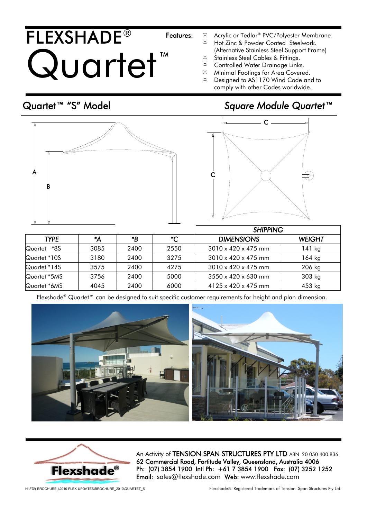## FLEXSHADE® Quartet TM

- Features: <sup> $\alpha$ </sup> Acrylic or Tedlar<sup>®</sup> PVC/Polyester Membrane.
	- *¤* Hot Zinc & Powder Coated Steelwork. (Alternative Stainless Steel Support Frame)
	- *¤* Stainless Steel Cables & Fittings.
	- *¤* Controlled Water Drainage Links.
	- *¤* Minimal Footings for Area Covered.
	- *¤* Designed to AS1170 Wind Code and to comply with other Codes worldwide.

## Quartet™ "S" Model *Square Module Quartet™*





|                |      |      |      | <b>SHIPPING</b>                 |               |
|----------------|------|------|------|---------------------------------|---------------|
| <b>TYPE</b>    | *A   | *B   | *C   | <b>DIMENSIONS</b>               | <b>WEIGHT</b> |
| *8S<br>Quartet | 3085 | 2400 | 2550 | $3010 \times 420 \times 475$ mm | $141$ kg      |
| Quartet *10S   | 3180 | 2400 | 3275 | $3010 \times 420 \times 475$ mm | $164$ kg      |
| Quartet *14S   | 3575 | 2400 | 4275 | $3010 \times 420 \times 475$ mm | 206 kg        |
| Quartet *5MS   | 3756 | 2400 | 5000 | $3550 \times 420 \times 630$ mm | 303 kg        |
| Quartet *6MS   | 4045 | 2400 | 6000 | $4125 \times 420 \times 475$ mm | 453 kg        |

Flexshade® Quartet™ can be designed to suit specific customer requirements for height and plan dimension.





An Activity of TENSION SPAN STRUCTURES PTY LTD ABN 20 050 400 836 62 Commercial Road, Fortitude Valley, Queensland, Australia 4006 Ph: (07) 3854 1900 Intl Ph: +61 7 3854 1900 Fax: (07) 3252 1252 Email: sales@flexshade.com Web: www.flexshade.com